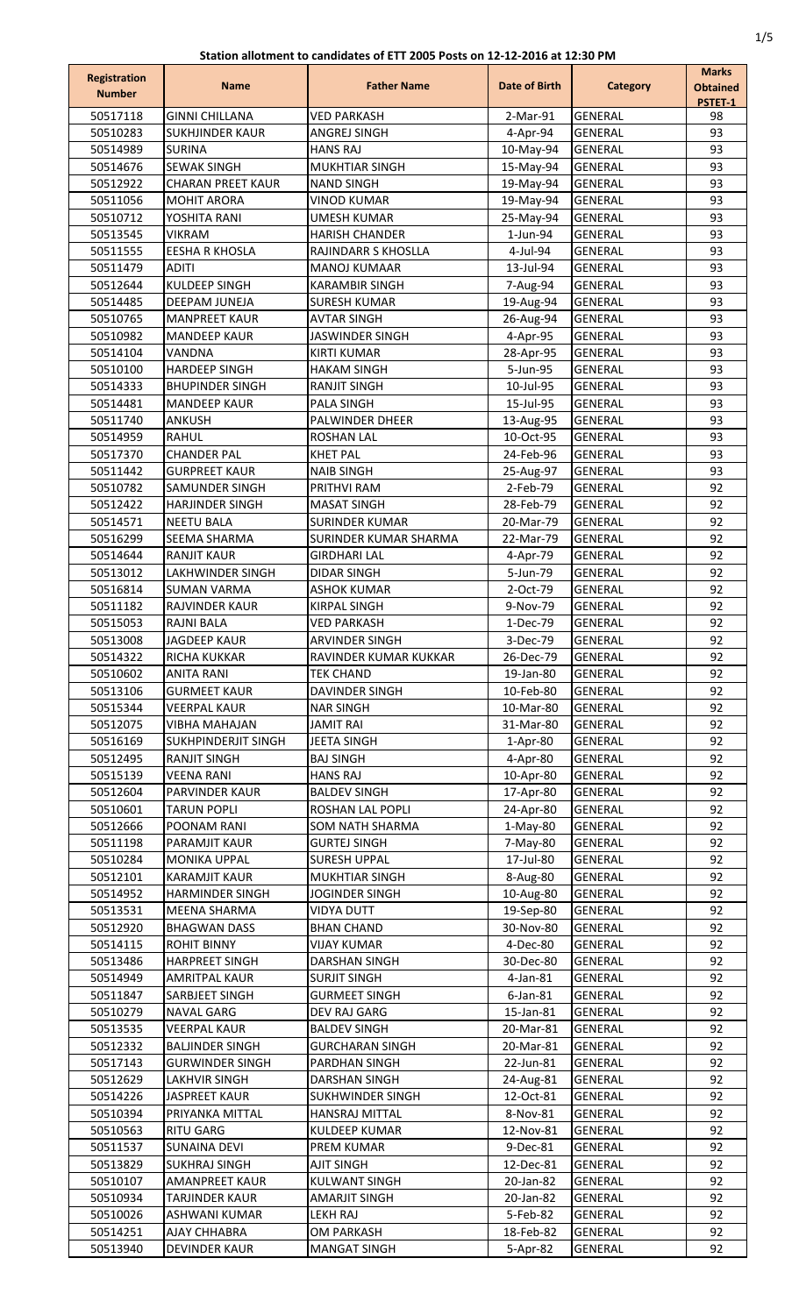| <b>Registration</b>  | <b>Name</b>                                       | <b>Father Name</b>                        | Date of Birth          | <b>Category</b>                  | <b>Marks</b>               |
|----------------------|---------------------------------------------------|-------------------------------------------|------------------------|----------------------------------|----------------------------|
| <b>Number</b>        |                                                   |                                           |                        |                                  | <b>Obtained</b><br>PSTET-1 |
| 50517118             | <b>GINNI CHILLANA</b>                             | <b>VED PARKASH</b>                        | 2-Mar-91               | <b>GENERAL</b>                   | 98                         |
| 50510283             | <b>SUKHJINDER KAUR</b>                            | ANGREJ SINGH                              | 4-Apr-94               | <b>GENERAL</b>                   | 93                         |
| 50514989             | <b>SURINA</b>                                     | <b>HANS RAJ</b>                           | 10-May-94              | <b>GENERAL</b>                   | 93                         |
| 50514676             | <b>SEWAK SINGH</b>                                | MUKHTIAR SINGH                            | 15-May-94              | <b>GENERAL</b>                   | 93                         |
| 50512922             | <b>CHARAN PREET KAUR</b>                          | <b>NAND SINGH</b>                         | 19-May-94              | <b>GENERAL</b>                   | 93                         |
| 50511056<br>50510712 | <b>MOHIT ARORA</b><br>YOSHITA RANI                | <b>VINOD KUMAR</b><br><b>UMESH KUMAR</b>  | 19-May-94<br>25-May-94 | <b>GENERAL</b><br><b>GENERAL</b> | 93<br>93                   |
| 50513545             | <b>VIKRAM</b>                                     | <b>HARISH CHANDER</b>                     | $1$ -Jun-94            | <b>GENERAL</b>                   | 93                         |
| 50511555             | <b>EESHA R KHOSLA</b>                             | RAJINDARR S KHOSLLA                       | 4-Jul-94               | <b>GENERAL</b>                   | 93                         |
| 50511479             | <b>ADITI</b>                                      | <b>MANOJ KUMAAR</b>                       | 13-Jul-94              | <b>GENERAL</b>                   | 93                         |
| 50512644             | <b>KULDEEP SINGH</b>                              | <b>KARAMBIR SINGH</b>                     | 7-Aug-94               | <b>GENERAL</b>                   | 93                         |
| 50514485             | <b>DEEPAM JUNEJA</b>                              | <b>SURESH KUMAR</b>                       | 19-Aug-94              | GENERAL                          | 93                         |
| 50510765             | <b>MANPREET KAUR</b>                              | <b>AVTAR SINGH</b>                        | 26-Aug-94              | <b>GENERAL</b>                   | 93                         |
| 50510982             | <b>MANDEEP KAUR</b>                               | <b>JASWINDER SINGH</b>                    | 4-Apr-95               | <b>GENERAL</b>                   | 93                         |
| 50514104             | VANDNA                                            | <b>KIRTI KUMAR</b>                        | 28-Apr-95              | <b>GENERAL</b>                   | 93                         |
| 50510100             | <b>HARDEEP SINGH</b><br><b>BHUPINDER SINGH</b>    | <b>HAKAM SINGH</b>                        | 5-Jun-95               | <b>GENERAL</b>                   | 93<br>93                   |
| 50514333<br>50514481 | <b>MANDEEP KAUR</b>                               | RANJIT SINGH<br>PALA SINGH                | 10-Jul-95<br>15-Jul-95 | <b>GENERAL</b><br><b>GENERAL</b> | 93                         |
| 50511740             | <b>ANKUSH</b>                                     | <b>PALWINDER DHEER</b>                    | 13-Aug-95              | <b>GENERAL</b>                   | 93                         |
| 50514959             | <b>RAHUL</b>                                      | <b>ROSHAN LAL</b>                         | 10-Oct-95              | <b>GENERAL</b>                   | 93                         |
| 50517370             | <b>CHANDER PAL</b>                                | <b>KHET PAL</b>                           | 24-Feb-96              | GENERAL                          | 93                         |
| 50511442             | <b>GURPREET KAUR</b>                              | <b>NAIB SINGH</b>                         | 25-Aug-97              | <b>GENERAL</b>                   | 93                         |
| 50510782             | SAMUNDER SINGH                                    | PRITHVI RAM                               | 2-Feb-79               | <b>GENERAL</b>                   | 92                         |
| 50512422             | <b>HARJINDER SINGH</b>                            | <b>MASAT SINGH</b>                        | 28-Feb-79              | <b>GENERAL</b>                   | 92                         |
| 50514571             | <b>NEETU BALA</b>                                 | <b>SURINDER KUMAR</b>                     | 20-Mar-79              | <b>GENERAL</b>                   | 92                         |
| 50516299             | SEEMA SHARMA                                      | SURINDER KUMAR SHARMA                     | 22-Mar-79              | <b>GENERAL</b>                   | 92                         |
| 50514644<br>50513012 | <b>RANJIT KAUR</b><br>LAKHWINDER SINGH            | <b>GIRDHARI LAL</b><br><b>DIDAR SINGH</b> | 4-Apr-79<br>5-Jun-79   | <b>GENERAL</b><br><b>GENERAL</b> | 92<br>92                   |
| 50516814             | <b>SUMAN VARMA</b>                                | ASHOK KUMAR                               | 2-Oct-79               | <b>GENERAL</b>                   | 92                         |
| 50511182             | <b>RAJVINDER KAUR</b>                             | KIRPAL SINGH                              | 9-Nov-79               | <b>GENERAL</b>                   | 92                         |
| 50515053             | <b>RAJNI BALA</b>                                 | <b>VED PARKASH</b>                        | 1-Dec-79               | <b>GENERAL</b>                   | 92                         |
| 50513008             | <b>JAGDEEP KAUR</b>                               | <b>ARVINDER SINGH</b>                     | 3-Dec-79               | <b>GENERAL</b>                   | 92                         |
| 50514322             | <b>RICHA KUKKAR</b>                               | RAVINDER KUMAR KUKKAR                     | 26-Dec-79              | GENERAL                          | 92                         |
| 50510602             | <b>ANITA RANI</b>                                 | <b>TEK CHAND</b>                          | 19-Jan-80              | <b>GENERAL</b>                   | 92                         |
| 50513106             | <b>GURMEET KAUR</b>                               | DAVINDER SINGH                            | 10-Feb-80              | <b>GENERAL</b>                   | 92                         |
| 50515344             | <b>VEERPAL KAUR</b>                               | <b>NAR SINGH</b>                          | 10-Mar-80              | <b>GENERAL</b>                   | 92                         |
| 50512075             | <b>VIBHA MAHAJAN</b>                              | <b>JAMIT RAI</b>                          | 31-Mar-80              | <b>GENERAL</b>                   | 92                         |
| 50516169<br>50512495 | <b>SUKHPINDERJIT SINGH</b><br><b>RANJIT SINGH</b> | <b>JEETA SINGH</b><br><b>BAJ SINGH</b>    | $1-Apr-80$<br>4-Apr-80 | <b>GENERAL</b><br>GENERAL        | 92<br>92                   |
| 50515139             | <b>VEENA RANI</b>                                 | <b>HANS RAJ</b>                           | 10-Apr-80              | <b>GENERAL</b>                   | 92                         |
| 50512604             | <b>PARVINDER KAUR</b>                             | <b>BALDEV SINGH</b>                       | 17-Apr-80              | <b>GENERAL</b>                   | 92                         |
| 50510601             | <b>TARUN POPLI</b>                                | ROSHAN LAL POPLI                          | 24-Apr-80              | <b>GENERAL</b>                   | 92                         |
| 50512666             | POONAM RANI                                       | SOM NATH SHARMA                           | $1-May-80$             | <b>GENERAL</b>                   | 92                         |
| 50511198             | <b>PARAMJIT KAUR</b>                              | <b>GURTEJ SINGH</b>                       | 7-May-80               | <b>GENERAL</b>                   | 92                         |
| 50510284             | <b>MONIKA UPPAL</b>                               | <b>SURESH UPPAL</b>                       | 17-Jul-80              | <b>GENERAL</b>                   | 92                         |
| 50512101             | <b>KARAMJIT KAUR</b>                              | <b>MUKHTIAR SINGH</b>                     | 8-Aug-80               | <b>GENERAL</b>                   | 92                         |
| 50514952             | <b>HARMINDER SINGH</b>                            | JOGINDER SINGH                            | 10-Aug-80              | <b>GENERAL</b>                   | 92                         |
| 50513531             | MEENA SHARMA                                      | VIDYA DUTT                                | 19-Sep-80              | <b>GENERAL</b>                   | 92                         |
| 50512920<br>50514115 | <b>BHAGWAN DASS</b><br><b>ROHIT BINNY</b>         | <b>BHAN CHAND</b><br><b>VIJAY KUMAR</b>   | 30-Nov-80<br>4-Dec-80  | <b>GENERAL</b><br><b>GENERAL</b> | 92<br>92                   |
| 50513486             | <b>HARPREET SINGH</b>                             | DARSHAN SINGH                             | 30-Dec-80              | <b>GENERAL</b>                   | 92                         |
| 50514949             | <b>AMRITPAL KAUR</b>                              | <b>SURJIT SINGH</b>                       | 4-Jan-81               | <b>GENERAL</b>                   | 92                         |
| 50511847             | <b>SARBJEET SINGH</b>                             | <b>GURMEET SINGH</b>                      | $6$ -Jan- $81$         | <b>GENERAL</b>                   | 92                         |
| 50510279             | NAVAL GARG                                        | DEV RAJ GARG                              | 15-Jan-81              | <b>GENERAL</b>                   | 92                         |
| 50513535             | VEERPAL KAUR                                      | <b>BALDEV SINGH</b>                       | 20-Mar-81              | <b>GENERAL</b>                   | 92                         |
| 50512332             | <b>BALJINDER SINGH</b>                            | <b>GURCHARAN SINGH</b>                    | 20-Mar-81              | GENERAL                          | 92                         |
| 50517143             | <b>GURWINDER SINGH</b>                            | PARDHAN SINGH                             | 22-Jun-81              | <b>GENERAL</b>                   | 92                         |
| 50512629             | <b>LAKHVIR SINGH</b>                              | DARSHAN SINGH                             | 24-Aug-81              | <b>GENERAL</b>                   | 92                         |
| 50514226             | <b>JASPREET KAUR</b>                              | <b>SUKHWINDER SINGH</b>                   | 12-Oct-81              | <b>GENERAL</b>                   | 92                         |
| 50510394<br>50510563 | PRIYANKA MITTAL<br><b>RITU GARG</b>               | HANSRAJ MITTAL<br><b>KULDEEP KUMAR</b>    | 8-Nov-81<br>12-Nov-81  | <b>GENERAL</b><br><b>GENERAL</b> | 92<br>92                   |
| 50511537             | <b>SUNAINA DEVI</b>                               | <b>PREM KUMAR</b>                         | 9-Dec-81               | <b>GENERAL</b>                   | 92                         |
| 50513829             | <b>SUKHRAJ SINGH</b>                              | <b>AJIT SINGH</b>                         | 12-Dec-81              | <b>GENERAL</b>                   | 92                         |
| 50510107             | <b>AMANPREET KAUR</b>                             | KULWANT SINGH                             | 20-Jan-82              | <b>GENERAL</b>                   | 92                         |
| 50510934             | <b>TARJINDER KAUR</b>                             | <b>AMARJIT SINGH</b>                      | 20-Jan-82              | <b>GENERAL</b>                   | 92                         |
| 50510026             | <b>ASHWANI KUMAR</b>                              | <b>LEKH RAJ</b>                           | 5-Feb-82               | <b>GENERAL</b>                   | 92                         |
| 50514251             | <b>AJAY CHHABRA</b>                               | OM PARKASH                                | 18-Feb-82              | <b>GENERAL</b>                   | 92                         |
| 50513940             | <b>DEVINDER KAUR</b>                              | <b>MANGAT SINGH</b>                       | 5-Apr-82               | GENERAL                          | 92                         |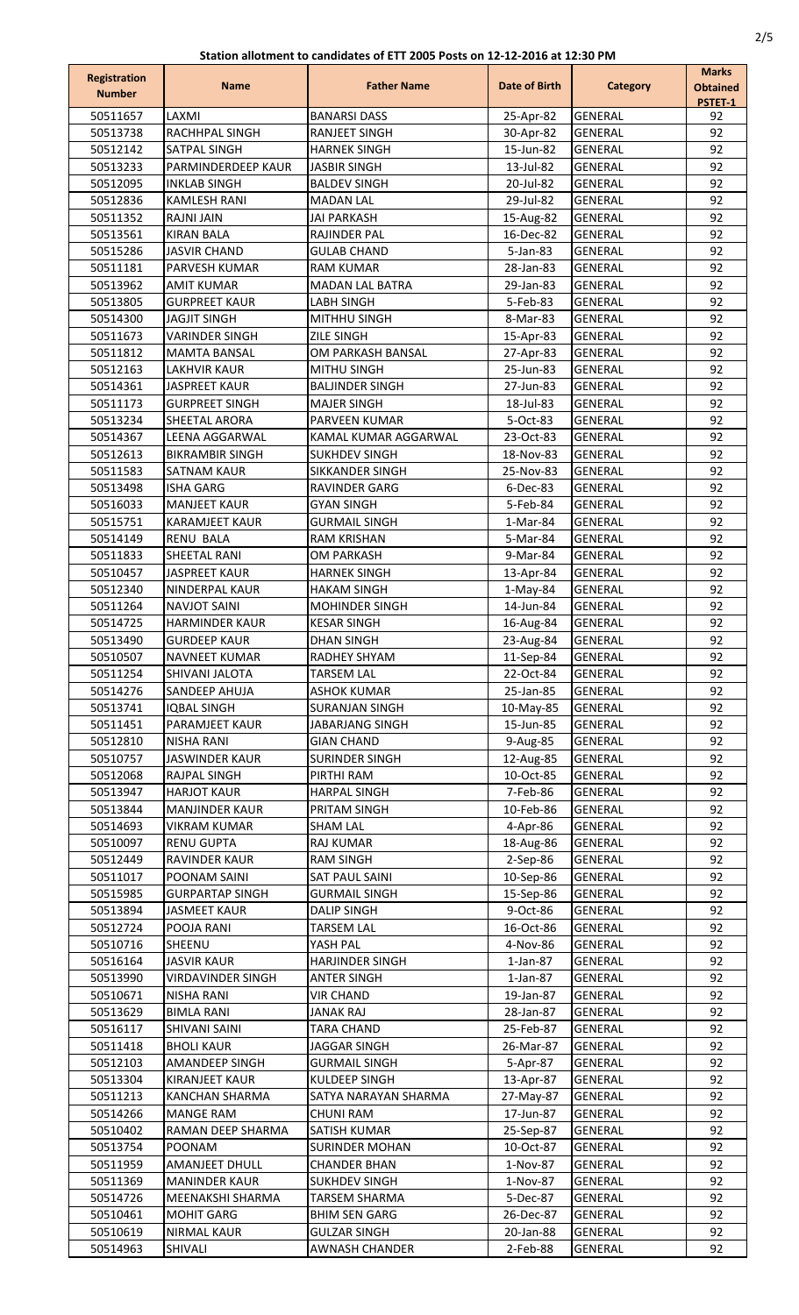| Registration<br><b>Number</b> | <b>Name</b>                                    | <b>Father Name</b>                           | Date of Birth          | <b>Category</b>                  | <b>Marks</b><br><b>Obtained</b><br>PSTET-1 |
|-------------------------------|------------------------------------------------|----------------------------------------------|------------------------|----------------------------------|--------------------------------------------|
| 50511657                      | LAXMI                                          | <b>BANARSI DASS</b>                          | 25-Apr-82              | <b>GENERAL</b>                   | 92                                         |
| 50513738                      | RACHHPAL SINGH                                 | <b>RANJEET SINGH</b>                         | 30-Apr-82              | <b>GENERAL</b>                   | 92                                         |
| 50512142                      | SATPAL SINGH                                   | <b>HARNEK SINGH</b>                          | 15-Jun-82              | <b>GENERAL</b>                   | 92                                         |
| 50513233                      | PARMINDERDEEP KAUR                             | <b>JASBIR SINGH</b>                          | 13-Jul-82              | <b>GENERAL</b>                   | 92                                         |
| 50512095                      | <b>INKLAB SINGH</b>                            | <b>BALDEV SINGH</b>                          | 20-Jul-82              | <b>GENERAL</b>                   | 92                                         |
| 50512836<br>50511352          | <b>KAMLESH RANI</b><br><b>RAJNI JAIN</b>       | <b>MADAN LAL</b><br><b>JAI PARKASH</b>       | 29-Jul-82<br>15-Aug-82 | <b>GENERAL</b><br><b>GENERAL</b> | 92<br>92                                   |
| 50513561                      | <b>KIRAN BALA</b>                              | <b>RAJINDER PAL</b>                          | 16-Dec-82              | <b>GENERAL</b>                   | 92                                         |
| 50515286                      | <b>JASVIR CHAND</b>                            | <b>GULAB CHAND</b>                           | 5-Jan-83               | <b>GENERAL</b>                   | 92                                         |
| 50511181                      | PARVESH KUMAR                                  | RAM KUMAR                                    | 28-Jan-83              | <b>GENERAL</b>                   | 92                                         |
| 50513962                      | <b>AMIT KUMAR</b>                              | <b>MADAN LAL BATRA</b>                       | 29-Jan-83              | <b>GENERAL</b>                   | 92                                         |
| 50513805                      | <b>GURPREET KAUR</b>                           | <b>LABH SINGH</b>                            | 5-Feb-83               | <b>GENERAL</b>                   | 92                                         |
| 50514300                      | <b>JAGJIT SINGH</b>                            | MITHHU SINGH                                 | 8-Mar-83               | <b>GENERAL</b>                   | 92                                         |
| 50511673                      | <b>VARINDER SINGH</b>                          | <b>ZILE SINGH</b>                            | 15-Apr-83              | <b>GENERAL</b>                   | 92                                         |
| 50511812                      | <b>MAMTA BANSAL</b>                            | OM PARKASH BANSAL                            | 27-Apr-83              | <b>GENERAL</b>                   | 92                                         |
| 50512163<br>50514361          | LAKHVIR KAUR<br><b>JASPREET KAUR</b>           | MITHU SINGH<br><b>BALJINDER SINGH</b>        | 25-Jun-83<br>27-Jun-83 | <b>GENERAL</b><br><b>GENERAL</b> | 92<br>92                                   |
| 50511173                      | <b>GURPREET SINGH</b>                          | <b>MAJER SINGH</b>                           | 18-Jul-83              | <b>GENERAL</b>                   | 92                                         |
| 50513234                      | <b>SHEETAL ARORA</b>                           | PARVEEN KUMAR                                | 5-Oct-83               | <b>GENERAL</b>                   | 92                                         |
| 50514367                      | <b>LEENA AGGARWAL</b>                          | KAMAL KUMAR AGGARWAL                         | 23-Oct-83              | <b>GENERAL</b>                   | 92                                         |
| 50512613                      | <b>BIKRAMBIR SINGH</b>                         | <b>SUKHDEV SINGH</b>                         | 18-Nov-83              | <b>GENERAL</b>                   | 92                                         |
| 50511583                      | <b>SATNAM KAUR</b>                             | SIKKANDER SINGH                              | 25-Nov-83              | <b>GENERAL</b>                   | 92                                         |
| 50513498                      | ISHA GARG                                      | <b>RAVINDER GARG</b>                         | 6-Dec-83               | <b>GENERAL</b>                   | 92                                         |
| 50516033                      | <b>MANJEET KAUR</b>                            | <b>GYAN SINGH</b>                            | 5-Feb-84               | <b>GENERAL</b>                   | 92                                         |
| 50515751                      | <b>KARAMJEET KAUR</b>                          | <b>GURMAIL SINGH</b>                         | 1-Mar-84               | <b>GENERAL</b>                   | 92                                         |
| 50514149<br>50511833          | <b>RENU BALA</b><br><b>SHEETAL RANI</b>        | <b>RAM KRISHAN</b><br><b>OM PARKASH</b>      | 5-Mar-84               | <b>GENERAL</b><br><b>GENERAL</b> | 92<br>92                                   |
| 50510457                      | <b>JASPREET KAUR</b>                           | <b>HARNEK SINGH</b>                          | 9-Mar-84<br>13-Apr-84  | <b>GENERAL</b>                   | 92                                         |
| 50512340                      | NINDERPAL KAUR                                 | <b>HAKAM SINGH</b>                           | 1-May-84               | <b>GENERAL</b>                   | 92                                         |
| 50511264                      | <b>NAVJOT SAINI</b>                            | <b>MOHINDER SINGH</b>                        | 14-Jun-84              | <b>GENERAL</b>                   | 92                                         |
| 50514725                      | <b>HARMINDER KAUR</b>                          | <b>KESAR SINGH</b>                           | 16-Aug-84              | <b>GENERAL</b>                   | 92                                         |
| 50513490                      | <b>GURDEEP KAUR</b>                            | <b>DHAN SINGH</b>                            | 23-Aug-84              | <b>GENERAL</b>                   | 92                                         |
| 50510507                      | <b>NAVNEET KUMAR</b>                           | RADHEY SHYAM                                 | 11-Sep-84              | <b>GENERAL</b>                   | 92                                         |
| 50511254                      | SHIVANI JALOTA                                 | <b>TARSEM LAL</b>                            | 22-Oct-84              | <b>GENERAL</b>                   | 92                                         |
| 50514276                      | SANDEEP AHUJA                                  | ASHOK KUMAR                                  | 25-Jan-85              | <b>GENERAL</b>                   | 92                                         |
| 50513741<br>50511451          | <b>IOBAL SINGH</b>                             | <b>SURANJAN SINGH</b>                        | 10-May-85              | <b>GENERAL</b><br><b>GENERAL</b> | 92<br>92                                   |
| 50512810                      | PARAMJEET KAUR<br>NISHA RANI                   | <b>JABARJANG SINGH</b><br><b>GIAN CHAND</b>  | 15-Jun-85<br>9-Aug-85  | <b>GENERAL</b>                   | 92                                         |
| 50510757                      | JASWINDER KAUR                                 | SURINDER SINGH                               | 12-Aug-85              | <b>GENERAL</b>                   | 92                                         |
| 50512068                      | <b>RAJPAL SINGH</b>                            | PIRTHI RAM                                   | 10-Oct-85              | <b>GENERAL</b>                   | 92                                         |
| 50513947                      | <b>HARJOT KAUR</b>                             | <b>HARPAL SINGH</b>                          | 7-Feb-86               | <b>GENERAL</b>                   | 92                                         |
| 50513844                      | <b>MANJINDER KAUR</b>                          | PRITAM SINGH                                 | 10-Feb-86              | <b>GENERAL</b>                   | 92                                         |
| 50514693                      | <b>VIKRAM KUMAR</b>                            | <b>SHAM LAL</b>                              | 4-Apr-86               | <b>GENERAL</b>                   | 92                                         |
| 50510097                      | <b>RENU GUPTA</b>                              | RAJ KUMAR                                    | 18-Aug-86              | <b>GENERAL</b>                   | 92                                         |
| 50512449                      | <b>RAVINDER KAUR</b>                           | RAM SINGH                                    | 2-Sep-86               | <b>GENERAL</b>                   | 92                                         |
| 50511017                      | POONAM SAINI                                   | <b>SAT PAUL SAINI</b>                        | 10-Sep-86<br>15-Sep-86 | <b>GENERAL</b><br><b>GENERAL</b> | 92<br>92                                   |
| 50515985<br>50513894          | <b>GURPARTAP SINGH</b><br><b>JASMEET KAUR</b>  | GURMAIL SINGH<br><b>DALIP SINGH</b>          | 9-Oct-86               | <b>GENERAL</b>                   | 92                                         |
| 50512724                      | POOJA RANI                                     | <b>TARSEM LAL</b>                            | 16-Oct-86              | <b>GENERAL</b>                   | 92                                         |
| 50510716                      | SHEENU                                         | YASH PAL                                     | 4-Nov-86               | <b>GENERAL</b>                   | 92                                         |
| 50516164                      | <b>JASVIR KAUR</b>                             | <b>HARJINDER SINGH</b>                       | $1$ -Jan-87            | <b>GENERAL</b>                   | 92                                         |
| 50513990                      | <b>VIRDAVINDER SINGH</b>                       | <b>ANTER SINGH</b>                           | $1$ -Jan-87            | GENERAL                          | 92                                         |
| 50510671                      | <b>NISHA RANI</b>                              | <b>VIR CHAND</b>                             | 19-Jan-87              | <b>GENERAL</b>                   | 92                                         |
| 50513629                      | <b>BIMLA RANI</b>                              | JANAK RAJ                                    | 28-Jan-87              | <b>GENERAL</b>                   | 92                                         |
| 50516117                      | <b>SHIVANI SAINI</b>                           | <b>TARA CHAND</b>                            | 25-Feb-87              | <b>GENERAL</b>                   | 92                                         |
| 50511418                      | <b>BHOLI KAUR</b>                              | <b>JAGGAR SINGH</b>                          | 26-Mar-87              | <b>GENERAL</b>                   | 92<br>92                                   |
| 50512103<br>50513304          | <b>AMANDEEP SINGH</b><br><b>KIRANJEET KAUR</b> | <b>GURMAIL SINGH</b><br>KULDEEP SINGH        | 5-Apr-87<br>13-Apr-87  | <b>GENERAL</b><br><b>GENERAL</b> | 92                                         |
| 50511213                      | KANCHAN SHARMA                                 | SATYA NARAYAN SHARMA                         | 27-May-87              | <b>GENERAL</b>                   | 92                                         |
| 50514266                      | MANGE RAM                                      | CHUNI RAM                                    | 17-Jun-87              | <b>GENERAL</b>                   | 92                                         |
| 50510402                      | RAMAN DEEP SHARMA                              | <b>SATISH KUMAR</b>                          | 25-Sep-87              | <b>GENERAL</b>                   | 92                                         |
| 50513754                      | <b>POONAM</b>                                  | <b>SURINDER MOHAN</b>                        | 10-Oct-87              | <b>GENERAL</b>                   | 92                                         |
| 50511959                      | <b>AMANJEET DHULL</b>                          | <b>CHANDER BHAN</b>                          | 1-Nov-87               | <b>GENERAL</b>                   | 92                                         |
| 50511369                      | <b>MANINDER KAUR</b>                           | <b>SUKHDEV SINGH</b>                         | 1-Nov-87               | <b>GENERAL</b>                   | 92                                         |
| 50514726                      | MEENAKSHI SHARMA                               | TARSEM SHARMA                                | 5-Dec-87               | <b>GENERAL</b>                   | 92                                         |
| 50510461                      | <b>MOHIT GARG</b>                              | <b>BHIM SEN GARG</b>                         | 26-Dec-87              | <b>GENERAL</b>                   | 92                                         |
| 50510619<br>50514963          | <b>NIRMAL KAUR</b><br>SHIVALI                  | <b>GULZAR SINGH</b><br><b>AWNASH CHANDER</b> | 20-Jan-88<br>2-Feb-88  | <b>GENERAL</b><br><b>GENERAL</b> | 92<br>92                                   |
|                               |                                                |                                              |                        |                                  |                                            |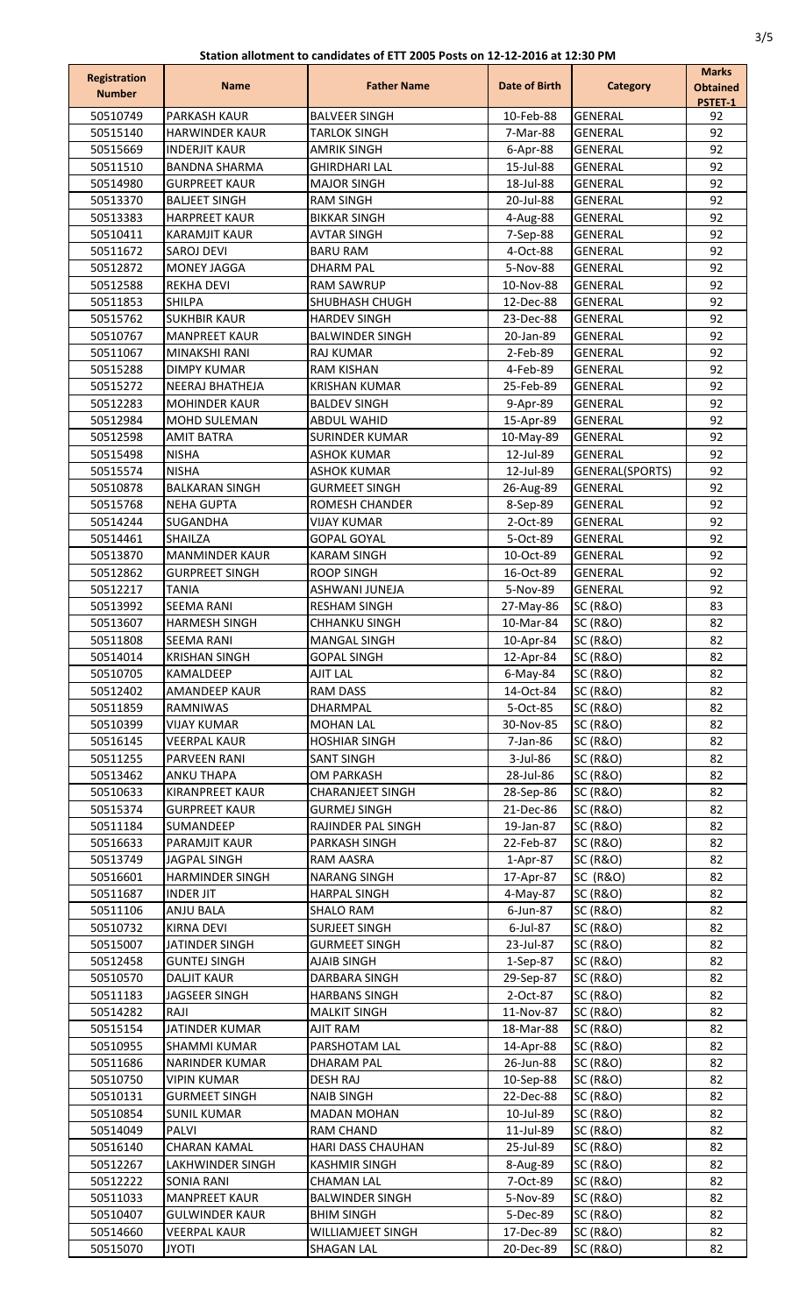| <b>Registration</b><br><b>Number</b> | <b>Name</b>                                   | <b>Father Name</b>                          | Date of Birth          | <b>Category</b>                            | <b>Marks</b><br><b>Obtained</b><br>PSTET-1 |
|--------------------------------------|-----------------------------------------------|---------------------------------------------|------------------------|--------------------------------------------|--------------------------------------------|
| 50510749                             | <b>PARKASH KAUR</b>                           | <b>BALVEER SINGH</b>                        | 10-Feb-88              | <b>GENERAL</b>                             | 92                                         |
| 50515140                             | <b>HARWINDER KAUR</b>                         | <b>TARLOK SINGH</b>                         | 7-Mar-88               | <b>GENERAL</b>                             | 92                                         |
| 50515669                             | <b>INDERJIT KAUR</b>                          | <b>AMRIK SINGH</b>                          | 6-Apr-88               | <b>GENERAL</b>                             | 92                                         |
| 50511510                             | <b>BANDNA SHARMA</b>                          | <b>GHIRDHARI LAL</b>                        | 15-Jul-88              | <b>GENERAL</b>                             | 92                                         |
| 50514980                             | <b>GURPREET KAUR</b>                          | <b>MAJOR SINGH</b>                          | 18-Jul-88              | <b>GENERAL</b>                             | 92<br>92                                   |
| 50513370<br>50513383                 | <b>BALJEET SINGH</b><br><b>HARPREET KAUR</b>  | <b>RAM SINGH</b><br><b>BIKKAR SINGH</b>     | 20-Jul-88<br>4-Aug-88  | <b>GENERAL</b><br><b>GENERAL</b>           | 92                                         |
| 50510411                             | <b>KARAMJIT KAUR</b>                          | <b>AVTAR SINGH</b>                          | 7-Sep-88               | <b>GENERAL</b>                             | 92                                         |
| 50511672                             | <b>SAROJ DEVI</b>                             | <b>BARU RAM</b>                             | 4-Oct-88               | <b>GENERAL</b>                             | 92                                         |
| 50512872                             | <b>MONEY JAGGA</b>                            | <b>DHARM PAL</b>                            | 5-Nov-88               | <b>GENERAL</b>                             | 92                                         |
| 50512588                             | <b>REKHA DEVI</b>                             | RAM SAWRUP                                  | 10-Nov-88              | <b>GENERAL</b>                             | 92                                         |
| 50511853                             | <b>SHILPA</b>                                 | SHUBHASH CHUGH                              | 12-Dec-88              | <b>GENERAL</b>                             | 92                                         |
| 50515762                             | <b>SUKHBIR KAUR</b>                           | <b>HARDEV SINGH</b>                         | 23-Dec-88              | <b>GENERAL</b>                             | 92                                         |
| 50510767<br>50511067                 | <b>MANPREET KAUR</b><br><b>MINAKSHI RANI</b>  | <b>BALWINDER SINGH</b><br>RAJ KUMAR         | 20-Jan-89<br>2-Feb-89  | <b>GENERAL</b><br><b>GENERAL</b>           | 92<br>92                                   |
| 50515288                             | <b>DIMPY KUMAR</b>                            | <b>RAM KISHAN</b>                           | 4-Feb-89               | <b>GENERAL</b>                             | 92                                         |
| 50515272                             | <b>NEERAJ BHATHEJA</b>                        | <b>KRISHAN KUMAR</b>                        | 25-Feb-89              | <b>GENERAL</b>                             | 92                                         |
| 50512283                             | <b>MOHINDER KAUR</b>                          | <b>BALDEV SINGH</b>                         | 9-Apr-89               | <b>GENERAL</b>                             | 92                                         |
| 50512984                             | MOHD SULEMAN                                  | <b>ABDUL WAHID</b>                          | 15-Apr-89              | <b>GENERAL</b>                             | 92                                         |
| 50512598                             | <b>AMIT BATRA</b>                             | <b>SURINDER KUMAR</b>                       | 10-May-89              | <b>GENERAL</b>                             | 92                                         |
| 50515498                             | <b>NISHA</b>                                  | ASHOK KUMAR                                 | 12-Jul-89              | <b>GENERAL</b>                             | 92                                         |
| 50515574                             | <b>NISHA</b>                                  | <b>ASHOK KUMAR</b>                          | 12-Jul-89              | GENERAL(SPORTS)                            | 92<br>92                                   |
| 50510878<br>50515768                 | <b>BALKARAN SINGH</b><br><b>NEHA GUPTA</b>    | <b>GURMEET SINGH</b><br>ROMESH CHANDER      | 26-Aug-89<br>8-Sep-89  | <b>GENERAL</b><br><b>GENERAL</b>           | 92                                         |
| 50514244                             | <b>SUGANDHA</b>                               | VIJAY KUMAR                                 | 2-Oct-89               | <b>GENERAL</b>                             | 92                                         |
| 50514461                             | <b>SHAILZA</b>                                | <b>GOPAL GOYAL</b>                          | 5-Oct-89               | <b>GENERAL</b>                             | 92                                         |
| 50513870                             | <b>MANMINDER KAUR</b>                         | <b>KARAM SINGH</b>                          | 10-Oct-89              | <b>GENERAL</b>                             | 92                                         |
| 50512862                             | <b>GURPREET SINGH</b>                         | <b>ROOP SINGH</b>                           | 16-Oct-89              | <b>GENERAL</b>                             | 92                                         |
| 50512217                             | <b>TANIA</b>                                  | ASHWANI JUNEJA                              | 5-Nov-89               | <b>GENERAL</b>                             | 92                                         |
| 50513992                             | <b>SEEMA RANI</b>                             | <b>RESHAM SINGH</b>                         | 27-May-86              | <b>SC (R&amp;O)</b>                        | 83                                         |
| 50513607<br>50511808                 | <b>HARMESH SINGH</b><br><b>SEEMA RANI</b>     | <b>CHHANKU SINGH</b>                        | 10-Mar-84              | <b>SC (R&amp;O)</b>                        | 82<br>82                                   |
| 50514014                             | <b>KRISHAN SINGH</b>                          | <b>MANGAL SINGH</b><br><b>GOPAL SINGH</b>   | 10-Apr-84<br>12-Apr-84 | <b>SC (R&amp;O)</b><br><b>SC (R&amp;O)</b> | 82                                         |
| 50510705                             | <b>KAMALDEEP</b>                              | <b>AJIT LAL</b>                             | $6$ -May-84            | <b>SC (R&amp;O)</b>                        | 82                                         |
| 50512402                             | <b>AMANDEEP KAUR</b>                          | <b>RAM DASS</b>                             | 14-Oct-84              | <b>SC (R&amp;O)</b>                        | 82                                         |
| 50511859                             | RAMNIWAS                                      | DHARMPAL                                    | 5-Oct-85               | <b>SC (R&amp;O)</b>                        | 82                                         |
| 50510399                             | VIJAY KUMAR                                   | <b>MOHAN LAL</b>                            | 30-Nov-85              | <b>SC (R&amp;O)</b>                        | 82                                         |
| 50516145                             | <b>VEERPAL KAUR</b>                           | <b>HOSHIAR SINGH</b>                        | 7-Jan-86               | <b>SC (R&amp;O)</b>                        | 82                                         |
| 50511255                             | PARVEEN RANI                                  | <b>SANT SINGH</b>                           | 3-Jul-86               | <b>SC (R&amp;O)</b>                        | 82                                         |
| 50513462<br>50510633                 | ANKU THAPA<br><b>KIRANPREET KAUR</b>          | OM PARKASH<br><b>CHARANJEET SINGH</b>       | 28-Jul-86<br>28-Sep-86 | <b>SC (R&amp;O)</b><br><b>SC (R&amp;O)</b> | 82<br>82                                   |
| 50515374                             | <b>GURPREET KAUR</b>                          | <b>GURMEJ SINGH</b>                         | 21-Dec-86              | <b>SC (R&amp;O)</b>                        | 82                                         |
| 50511184                             | <b>SUMANDEEP</b>                              | RAJINDER PAL SINGH                          | 19-Jan-87              | <b>SC (R&amp;O)</b>                        | 82                                         |
| 50516633                             | <b>PARAMJIT KAUR</b>                          | PARKASH SINGH                               | 22-Feb-87              | <b>SC (R&amp;O)</b>                        | 82                                         |
| 50513749                             | <b>JAGPAL SINGH</b>                           | RAM AASRA                                   | 1-Apr-87               | <b>SC (R&amp;O)</b>                        | 82                                         |
| 50516601                             | <b>HARMINDER SINGH</b>                        | <b>NARANG SINGH</b>                         | 17-Apr-87              | <b>SC (R&amp;O)</b>                        | 82                                         |
| 50511687                             | <b>INDER JIT</b>                              | <b>HARPAL SINGH</b>                         | 4-May-87               | <b>SC (R&amp;O)</b>                        | 82                                         |
| 50511106<br>50510732                 | ANJU BALA<br><b>KIRNA DEVI</b>                | SHALO RAM<br><b>SURJEET SINGH</b>           | 6-Jun-87<br>6-Jul-87   | <b>SC (R&amp;O)</b><br><b>SC (R&amp;O)</b> | 82<br>82                                   |
| 50515007                             | JATINDER SINGH                                | <b>GURMEET SINGH</b>                        | 23-Jul-87              | <b>SC (R&amp;O)</b>                        | 82                                         |
| 50512458                             | <b>GUNTEJ SINGH</b>                           | <b>AJAIB SINGH</b>                          | 1-Sep-87               | <b>SC (R&amp;O)</b>                        | 82                                         |
| 50510570                             | <b>DALJIT KAUR</b>                            | DARBARA SINGH                               | 29-Sep-87              | <b>SC (R&amp;O)</b>                        | 82                                         |
| 50511183                             | <b>JAGSEER SINGH</b>                          | <b>HARBANS SINGH</b>                        | 2-Oct-87               | <b>SC (R&amp;O)</b>                        | 82                                         |
| 50514282                             | RAJI                                          | <b>MALKIT SINGH</b>                         | 11-Nov-87              | <b>SC (R&amp;O)</b>                        | 82                                         |
| 50515154                             | JATINDER KUMAR                                | AJIT RAM                                    | 18-Mar-88              | <b>SC (R&amp;O)</b>                        | 82                                         |
| 50510955<br>50511686                 | <b>SHAMMI KUMAR</b><br><b>NARINDER KUMAR</b>  | PARSHOTAM LAL                               | 14-Apr-88<br>26-Jun-88 | <b>SC (R&amp;O)</b><br><b>SC (R&amp;O)</b> | 82<br>82                                   |
| 50510750                             | <b>VIPIN KUMAR</b>                            | DHARAM PAL<br><b>DESH RAJ</b>               | 10-Sep-88              | <b>SC (R&amp;O)</b>                        | 82                                         |
| 50510131                             | <b>GURMEET SINGH</b>                          | <b>NAIB SINGH</b>                           | 22-Dec-88              | <b>SC (R&amp;O)</b>                        | 82                                         |
| 50510854                             | <b>SUNIL KUMAR</b>                            | <b>MADAN MOHAN</b>                          | 10-Jul-89              | <b>SC (R&amp;O)</b>                        | 82                                         |
| 50514049                             | <b>PALVI</b>                                  | <b>RAM CHAND</b>                            | 11-Jul-89              | <b>SC (R&amp;O)</b>                        | 82                                         |
| 50516140                             | <b>CHARAN KAMAL</b>                           | <b>HARI DASS CHAUHAN</b>                    | 25-Jul-89              | <b>SC (R&amp;O)</b>                        | 82                                         |
| 50512267                             | LAKHWINDER SINGH                              | <b>KASHMIR SINGH</b>                        | 8-Aug-89               | <b>SC (R&amp;O)</b>                        | 82                                         |
| 50512222                             | <b>SONIA RANI</b>                             | <b>CHAMAN LAL</b><br><b>BALWINDER SINGH</b> | 7-Oct-89               | <b>SC (R&amp;O)</b>                        | 82                                         |
| 50511033<br>50510407                 | <b>MANPREET KAUR</b><br><b>GULWINDER KAUR</b> | <b>BHIM SINGH</b>                           | 5-Nov-89<br>5-Dec-89   | <b>SC (R&amp;O)</b><br><b>SC (R&amp;O)</b> | 82<br>82                                   |
| 50514660                             | <b>VEERPAL KAUR</b>                           | <b>WILLIAMJEET SINGH</b>                    | 17-Dec-89              | <b>SC (R&amp;O)</b>                        | 82                                         |
| 50515070                             | <b>JYOTI</b>                                  | <b>SHAGAN LAL</b>                           | 20-Dec-89              | <b>SC (R&amp;O)</b>                        | 82                                         |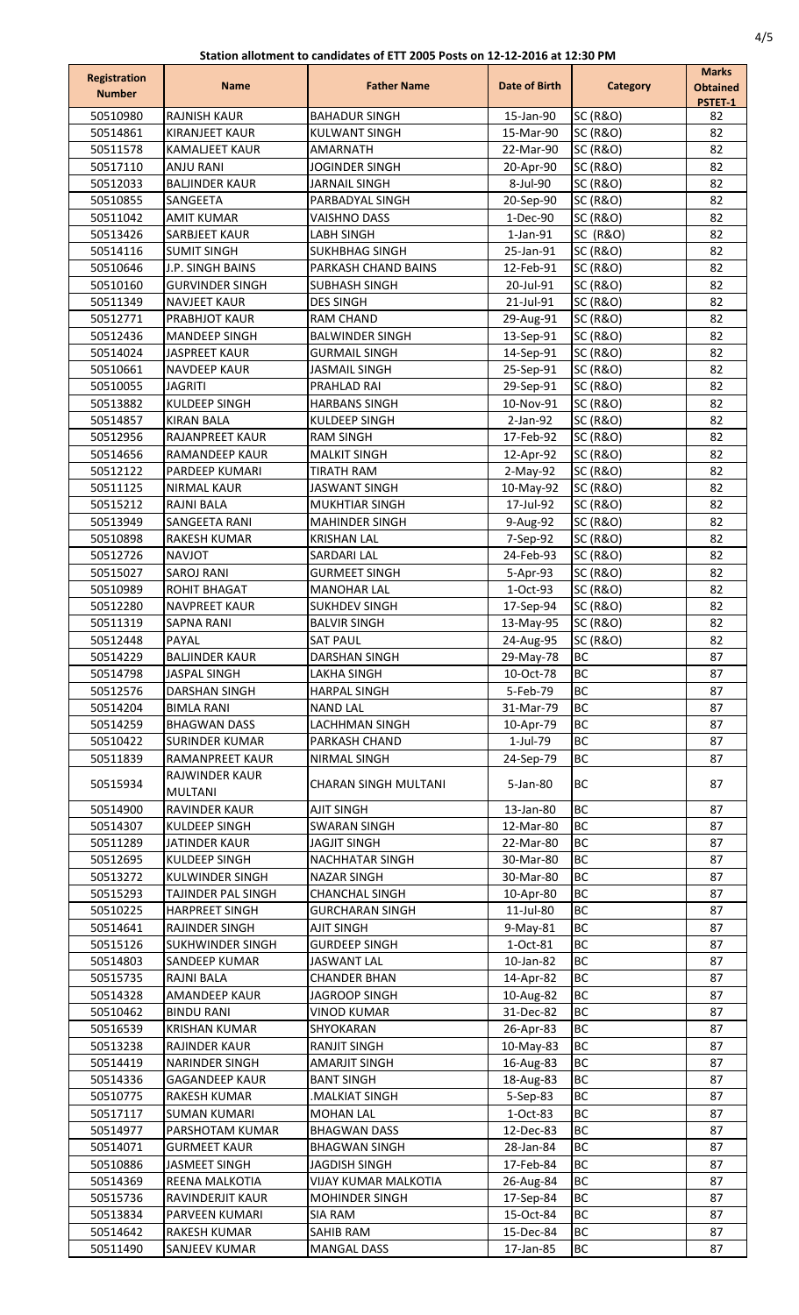| <b>Registration</b>  | <b>Name</b>                                        | <b>Father Name</b>                              | Date of Birth          | <b>Category</b>                            | <b>Marks</b>               |
|----------------------|----------------------------------------------------|-------------------------------------------------|------------------------|--------------------------------------------|----------------------------|
| <b>Number</b>        |                                                    |                                                 |                        |                                            | <b>Obtained</b><br>PSTET-1 |
| 50510980             | <b>RAJNISH KAUR</b>                                | <b>BAHADUR SINGH</b>                            | 15-Jan-90              | <b>SC (R&amp;O)</b>                        | 82                         |
| 50514861             | <b>KIRANJEET KAUR</b>                              | <b>KULWANT SINGH</b>                            | 15-Mar-90              | <b>SC (R&amp;O)</b>                        | 82                         |
| 50511578             | <b>KAMALJEET KAUR</b>                              | <b>AMARNATH</b>                                 | 22-Mar-90              | <b>SC (R&amp;O)</b>                        | 82                         |
| 50517110             | <b>ANJU RANI</b>                                   | <b>JOGINDER SINGH</b>                           | 20-Apr-90              | <b>SC (R&amp;O)</b>                        | 82                         |
| 50512033<br>50510855 | <b>BALJINDER KAUR</b><br>SANGEETA                  | <b>JARNAIL SINGH</b><br>PARBADYAL SINGH         | 8-Jul-90<br>20-Sep-90  | <b>SC (R&amp;O)</b><br><b>SC (R&amp;O)</b> | 82<br>82                   |
| 50511042             | <b>AMIT KUMAR</b>                                  | <b>VAISHNO DASS</b>                             | 1-Dec-90               | <b>SC (R&amp;O)</b>                        | 82                         |
| 50513426             | <b>SARBJEET KAUR</b>                               | <b>LABH SINGH</b>                               | $1$ -Jan- $91$         | <b>SC (R&amp;O)</b>                        | 82                         |
| 50514116             | <b>SUMIT SINGH</b>                                 | <b>SUKHBHAG SINGH</b>                           | 25-Jan-91              | <b>SC (R&amp;O)</b>                        | 82                         |
| 50510646             | <b>J.P. SINGH BAINS</b>                            | PARKASH CHAND BAINS                             | 12-Feb-91              | <b>SC (R&amp;O)</b>                        | 82                         |
| 50510160             | <b>GURVINDER SINGH</b>                             | <b>SUBHASH SINGH</b>                            | 20-Jul-91              | <b>SC (R&amp;O)</b>                        | 82                         |
| 50511349             | <b>NAVJEET KAUR</b>                                | <b>DES SINGH</b>                                | 21-Jul-91              | <b>SC (R&amp;O)</b>                        | 82                         |
| 50512771             | <b>PRABHJOT KAUR</b>                               | <b>RAM CHAND</b>                                | 29-Aug-91              | <b>SC (R&amp;O)</b>                        | 82                         |
| 50512436             | <b>MANDEEP SINGH</b>                               | <b>BALWINDER SINGH</b>                          | 13-Sep-91              | <b>SC (R&amp;O)</b>                        | 82                         |
| 50514024<br>50510661 | <b>JASPREET KAUR</b><br><b>NAVDEEP KAUR</b>        | <b>GURMAIL SINGH</b><br><b>JASMAIL SINGH</b>    | 14-Sep-91              | <b>SC (R&amp;O)</b><br><b>SC (R&amp;O)</b> | 82<br>82                   |
| 50510055             | <b>JAGRITI</b>                                     | PRAHLAD RAI                                     | 25-Sep-91<br>29-Sep-91 | <b>SC (R&amp;O)</b>                        | 82                         |
| 50513882             | <b>KULDEEP SINGH</b>                               | <b>HARBANS SINGH</b>                            | 10-Nov-91              | <b>SC (R&amp;O)</b>                        | 82                         |
| 50514857             | <b>KIRAN BALA</b>                                  | <b>KULDEEP SINGH</b>                            | $2-Jan-92$             | <b>SC (R&amp;O)</b>                        | 82                         |
| 50512956             | <b>RAJANPREET KAUR</b>                             | <b>RAM SINGH</b>                                | 17-Feb-92              | <b>SC (R&amp;O)</b>                        | 82                         |
| 50514656             | <b>RAMANDEEP KAUR</b>                              | <b>MALKIT SINGH</b>                             | 12-Apr-92              | <b>SC (R&amp;O)</b>                        | 82                         |
| 50512122             | <b>PARDEEP KUMARI</b>                              | <b>TIRATH RAM</b>                               | $2-May-92$             | <b>SC (R&amp;O)</b>                        | 82                         |
| 50511125             | <b>NIRMAL KAUR</b>                                 | <b>JASWANT SINGH</b>                            | 10-May-92              | <b>SC (R&amp;O)</b>                        | 82                         |
| 50515212             | <b>RAJNI BALA</b>                                  | <b>MUKHTIAR SINGH</b>                           | 17-Jul-92              | <b>SC (R&amp;O)</b>                        | 82                         |
| 50513949             | SANGEETA RANI                                      | <b>MAHINDER SINGH</b>                           | 9-Aug-92               | <b>SC (R&amp;O)</b>                        | 82                         |
| 50510898<br>50512726 | RAKESH KUMAR<br><b>NAVJOT</b>                      | <b>KRISHAN LAL</b><br><b>SARDARI LAL</b>        | 7-Sep-92<br>24-Feb-93  | <b>SC (R&amp;O)</b><br><b>SC (R&amp;O)</b> | 82<br>82                   |
| 50515027             | <b>SAROJ RANI</b>                                  | <b>GURMEET SINGH</b>                            | 5-Apr-93               | <b>SC (R&amp;O)</b>                        | 82                         |
| 50510989             | <b>ROHIT BHAGAT</b>                                | <b>MANOHAR LAL</b>                              | 1-Oct-93               | <b>SC (R&amp;O)</b>                        | 82                         |
| 50512280             | <b>NAVPREET KAUR</b>                               | <b>SUKHDEV SINGH</b>                            | 17-Sep-94              | <b>SC (R&amp;O)</b>                        | 82                         |
| 50511319             | <b>SAPNA RANI</b>                                  | <b>BALVIR SINGH</b>                             | 13-May-95              | <b>SC (R&amp;O)</b>                        | 82                         |
| 50512448             | PAYAL                                              | <b>SAT PAUL</b>                                 | 24-Aug-95              | <b>SC (R&amp;O)</b>                        | 82                         |
| 50514229             | <b>BALJINDER KAUR</b>                              | DARSHAN SINGH                                   | 29-May-78              | IBC                                        | 87                         |
| 50514798             | <b>JASPAL SINGH</b>                                | <b>LAKHA SINGH</b>                              | 10-Oct-78              | <b>BC</b>                                  | 87                         |
| 50512576             | DARSHAN SINGH                                      | <b>HARPAL SINGH</b>                             | 5-Feb-79               | <b>BC</b>                                  | 87                         |
| 50514204             | BIMLA RANI                                         | <b>NAND LAL</b><br><b>LACHHMAN SINGH</b>        | 31-Mar-79              | BС                                         | 87                         |
| 50514259<br>50510422 | <b>BHAGWAN DASS</b><br><b>SURINDER KUMAR</b>       | PARKASH CHAND                                   | 10-Apr-79<br>1-Jul-79  | ВC<br><b>BC</b>                            | 87<br>87                   |
| 50511839             | <b>RAMANPREET KAUR</b>                             | NIRMAL SINGH                                    | 24-Sep-79              | BC                                         | 87                         |
|                      | <b>RAJWINDER KAUR</b>                              |                                                 |                        |                                            |                            |
| 50515934             | <b>MULTANI</b>                                     | <b>CHARAN SINGH MULTANI</b>                     | 5-Jan-80               | BC                                         | 87                         |
| 50514900             | <b>RAVINDER KAUR</b>                               | <b>AJIT SINGH</b>                               | 13-Jan-80              | BC                                         | 87                         |
| 50514307             | KULDEEP SINGH                                      | <b>SWARAN SINGH</b>                             | 12-Mar-80              | BC                                         | 87                         |
| 50511289             | JATINDER KAUR                                      | <b>JAGJIT SINGH</b>                             | 22-Mar-80              | BС                                         | 87                         |
| 50512695             | KULDEEP SINGH                                      | <b>NACHHATAR SINGH</b>                          | 30-Mar-80              | BC                                         | 87                         |
| 50513272             | KULWINDER SINGH                                    | <b>NAZAR SINGH</b>                              | 30-Mar-80              | <b>BC</b>                                  | 87                         |
| 50515293<br>50510225 | <b>TAJINDER PAL SINGH</b><br><b>HARPREET SINGH</b> | <b>CHANCHAL SINGH</b><br><b>GURCHARAN SINGH</b> | 10-Apr-80<br>11-Jul-80 | <b>BC</b><br>BC                            | 87<br>87                   |
| 50514641             | RAJINDER SINGH                                     | AJIT SINGH                                      | 9-May-81               | <b>BC</b>                                  | 87                         |
| 50515126             | <b>SUKHWINDER SINGH</b>                            | <b>GURDEEP SINGH</b>                            | 1-Oct-81               | <b>BC</b>                                  | 87                         |
| 50514803             | SANDEEP KUMAR                                      | <b>JASWANT LAL</b>                              | 10-Jan-82              | BC                                         | 87                         |
| 50515735             | <b>RAJNI BALA</b>                                  | <b>CHANDER BHAN</b>                             | 14-Apr-82              | BC                                         | 87                         |
| 50514328             | <b>AMANDEEP KAUR</b>                               | <b>JAGROOP SINGH</b>                            | 10-Aug-82              | BC                                         | 87                         |
| 50510462             | <b>BINDU RANI</b>                                  | <b>VINOD KUMAR</b>                              | 31-Dec-82              | BC                                         | 87                         |
| 50516539             | <b>KRISHAN KUMAR</b>                               | SHYOKARAN                                       | 26-Apr-83              | <b>BC</b>                                  | 87                         |
| 50513238             | <b>RAJINDER KAUR</b>                               | <b>RANJIT SINGH</b>                             | 10-May-83              | BC                                         | 87                         |
| 50514419             | <b>NARINDER SINGH</b>                              | <b>AMARJIT SINGH</b>                            | 16-Aug-83              | BC                                         | 87                         |
| 50514336<br>50510775 | <b>GAGANDEEP KAUR</b><br><b>RAKESH KUMAR</b>       | <b>BANT SINGH</b><br>.MALKIAT SINGH             | 18-Aug-83<br>5-Sep-83  | <b>BC</b><br>BC                            | 87<br>87                   |
| 50517117             | <b>SUMAN KUMARI</b>                                | <b>MOHAN LAL</b>                                | 1-Oct-83               | <b>BC</b>                                  | 87                         |
| 50514977             | PARSHOTAM KUMAR                                    | <b>BHAGWAN DASS</b>                             | 12-Dec-83              | <b>BC</b>                                  | 87                         |
| 50514071             | <b>GURMEET KAUR</b>                                | <b>BHAGWAN SINGH</b>                            | 28-Jan-84              | ВC                                         | 87                         |
| 50510886             | JASMEET SINGH                                      | <b>JAGDISH SINGH</b>                            | 17-Feb-84              | BC                                         | 87                         |
| 50514369             | REENA MALKOTIA                                     | <b>VIJAY KUMAR MALKOTIA</b>                     | 26-Aug-84              | BC                                         | 87                         |
| 50515736             | <b>RAVINDERJIT KAUR</b>                            | <b>MOHINDER SINGH</b>                           | 17-Sep-84              | <b>BC</b>                                  | 87                         |
| 50513834             | <b>PARVEEN KUMARI</b>                              | <b>SIA RAM</b>                                  | 15-Oct-84              | <b>BC</b>                                  | 87                         |
| 50514642             | RAKESH KUMAR                                       | SAHIB RAM                                       | 15-Dec-84              | <b>BC</b>                                  | 87                         |
| 50511490             | SANJEEV KUMAR                                      | <b>MANGAL DASS</b>                              | 17-Jan-85              | ВC                                         | 87                         |